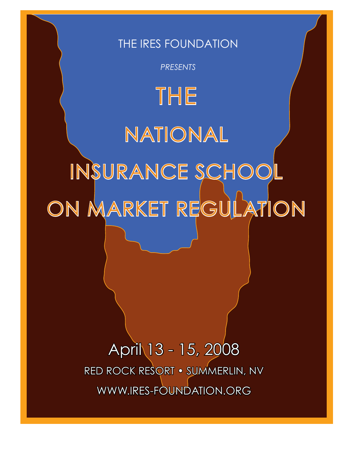# THE IRES FOUNDATION

*PRESENTS*

THE NATIONAL INSURANCE SCHOOL ON MARKET REGULATION

> April 13 - 15, 2008 Red Rock ResoRt • summeRlin, nV WWW.IRES-FOUNDATION.ORG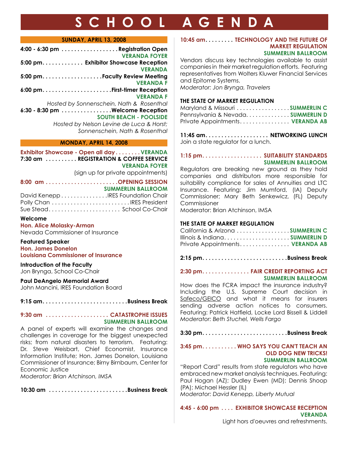# **SCH O O L A GENDA**

#### **SUNDAY, APRIL 13, 2008**

| 4:00 - 6:30 pm Registration Open         |
|------------------------------------------|
| <b>VERANDA FOYER</b>                     |
| 5:00 pm. Exhibitor Showcase Reception    |
| <b>VERANDA</b>                           |
|                                          |
| <b>VERANDA F</b>                         |
|                                          |
| <b>VERANDA F</b>                         |
| Hosted by Sonnenschein, Nath & Rosenthal |
| 6:30 - 8:30 pm Welcome Reception         |
| <b>SOUTH BEACH - POOLSIDE</b>            |
| Hosted by Nelson Levine de Luca & Horst; |
| Sonnenschein, Nath & Rosenthal           |
|                                          |

#### **MONDAY, APRIL 14, 2008**

**Exhibitor Showcase - Open all day . . . . . . . . VERANDA 7:30 am . . . . . . . . . . REGISTRATION & COFFEE SERVICE VERANDA FOYER** (sign up for private appointments)

**8:00 am . . . . . . . . . . . . . . . . . . . . . . .OPENING SESSION SUMMERLIN BALLROOM** David Kenepp . . . . . . . . . . . . . . .IRES Foundation Chair Polly Chan . . . . . . . . . . . . . . . . . . . . . . . . . IRES President Sue Stead . . . . . . . . . . . . . . . . . . . . . . . School Co-Chair

#### **Welcome**

**Hon. Alice Molasky-Arman** Nevada Commissioner of Insurance

#### **Featured Speaker**

**Hon. James Donelon Louisiana Commissioner of Insurance** 

#### **Introduction of the Faculty** Jon Brynga, School Co-Chair

**Paul DeAngelo Memorial Award**

John Mancini, IRES Foundation Board

9:15 am..........................Business Break

#### **9:30 am . . . . . . . . . . . . . . . . . . . . CATASTROPHE ISSUES SUMMERLIN BALLROOM**

A panel of experts will examine the changes and challenges in coverage for the biggest unexpected risks; from natural disasters to terrorism. Featuring: Dr. Steve Weisbart, Chief Economist, Insurance Information Institute; Hon. James Donelon, Louisiana Commissioner of Insurance; Birny Birnbaum, Center for Economic Justice

*Moderator: Brian Atchinson, IMSA*

10:30 am ........................Business Break

#### **10:45 am . . . . . . . . . TECHNOLOGY AND THE FUTURE OF MARKET REGULATION SUMMERLIN BALLROOM**

Vendors discuss key technologies available to assist companies in their market regulation efforts. Featuring representatives from Wolters Kluwer Financial Services and Epitome Systems. *Moderator: Jon Brynga, Travelers*

#### **THE STATE OF MARKET REGULATION**

| Maryland & Missouri SUMMERLIN C  |  |
|----------------------------------|--|
| Pennsylvania & NevadaSUMMERLIN D |  |
| Private Appointments VERANDA AB  |  |

**11:45 am. . . . . . . . . . . . . . . . . . . . NETWORKING LUNCH** Join a state regulator for a lunch.

#### **1:15 pm. . . . . . . . . . . . . . . . . . . SUITABILITY STANDARDS SUMMERLIN BALLROOM**

Regulators are breaking new ground as they hold companies and distributors more responsible for suitability compliance for sales of Annuities and LTC Insurance. Featuring: Jim Mumford, (IA) Deputy Commissioner; Mary Beth Senkewicz, (FL) Deputy Commissioner

Moderator: Brian Atchinson, IMSA

#### **THE STATE OF MARKET REGULATION**

| California & Arizona SUMMERLIN C |  |
|----------------------------------|--|
| Illinois & IndianaSUMMERLIN D    |  |
| Private Appointments VERANDA AB  |  |

**2:15 pm. . . . . . . . . . . . . . . . . . . . . . . . . . .Business Break**

#### **2:30 pm. . . . . . . . . . . . . . . FAIR CREDIT REPORTING ACT SUMMERLIN BALLROOM**

How does the FCRA impact the insurance industry? Including the U.S. Supreme Court decision in Safeco/GEICO and what it means for insurers sending adverse action notices to consumers. Featuring: Patrick Hatfeld, locke lord Bissell & liddell *Moderator: Beth Stuchel, Wells Fargo*

**3:30 pm. . . . . . . . . . . . . . . . . . . . . . . . . . .Business Break**

#### **3:45 pm. . . . . . . . . . . WHO SAYS YOU CAN'T TEACH AN OLD DOG NEW TRICKS! SUMMERLIN BALLROOM**

"Report Card" results from state regulators who have embraced new market analysis techniques. Featuring: Paul Hogan (AZ); Dudley Ewen (MD); Dennis Shoop (PA); Michael Hessler (IL) *Moderator: David Kenepp, Liberty Mutual*

**4:45 - 6:00 pm . . . . EXHIBITOR SHOWCASE RECEPTION VERANDA**

Light hors d'oeuvres and refreshments.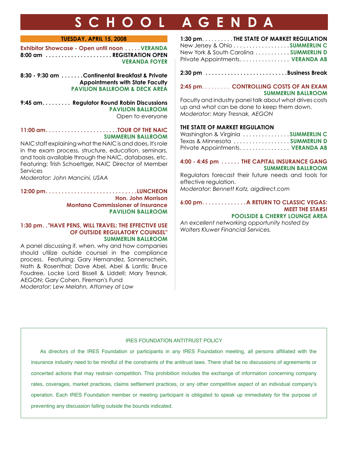# **SCH O O L A GENDA**

#### **TUESDAY, APRIL 15, 2008**

**Exhibitor Showcase - Open until noon . . . . . VERANDA 8:00 am . . . . . . . . . . . . . . . . . . . . . REGISTRATION OPEN VERANDA FOYER**

**8:30 - 9:30 am . . . . . . .Continental Breakfast & Private Appointments with State Faculty PAVILION BALLROOM & DECK AREA**

**9:45 am. . . . . . . . . Regulator Round Robin Discussions PAVILION BALLROOM** Open to everyone

#### 11:00 am......................TOUR OF THE NAIC **SUMMERLIN BALLROOM**

NAIC staff explaining what the NAIC is and does, it's role in the exam process, structure, education, seminars, and tools available through the NAIC, databases, etc. Featuring: Trish Schoettger, NAIC Director of Member Services

*Moderator: John Mancini, USAA*

**12:00 pm. . . . . . . . . . . . . . . . . . . . . . . . . . . . .LUNCHEON Hon. John Morrison Montana Commissioner of Insurance PAVILION BALLROOM**

#### **1:30 pm. ."HAVE PENS, WILL TRAVEL: THE EFFECTIVE USE OF OUTSIDE REGULATORY COUNSEL" SUMMERLIN BALLROOM**

A panel discussing if, when, why and how companies should utilize outside counsel in the compliance process. Featuring: Gary Hernandez, Sonnenschein, Nath & Rosenthal; Dave Abel, Abel & Lantis; Bruce Foudree, Locke Lord Bissell & Liddell; Mary Tresnak, AEGON; Gary Cohen, Fireman's Fund *Moderator: Lew Melahn, Attorney at Law*

| 1:30 pm. THE STATE OF MARKET REGULATION |
|-----------------------------------------|
| New Jersey & Ohio SUMMERLINC            |
| New York & South Carolina  SUMMERLIN D  |
| Private Appointments VERANDA AB         |

2:30 pm .........................Business Break

#### **2:45 pm** . . . . . . . . . **CONTROLLING COSTS OF AN EXAM SUMMERLIN BALLROOM**

Faculty and industry panel talk about what drives costs up and what can be done to keep them down. *Moderator: Mary Tresnak, AEGON*

#### **THE STATE OF MARKET REGULATION**

| Washington & Virginia SUMMERLIN C |  |
|-----------------------------------|--|
| Texas & Minnesota SUMMERLIN D     |  |
| Private Appointments VERANDA AB   |  |

#### **4:00 - 4:45 pm . . . . . . THE CAPITAL INSURANCE GANG SUMMERLIN BALLROOM**

Regulators forecast their future needs and tools for effective regulation.

*Moderator: Bennett Katz, aigdirect.com*

#### **6:00 pm. . . . . . . . . . . . . .A RETURN TO CLASSIC VEGAS: MEET THE STARS!**

#### **POOLSIDE & CHERRY LOUNGE AREA**

*An excellent networking opportunity hosted by Wolters Kluwer Financial Services.* 

#### IRES FOUNDATION ANTITRUST POLICY

As directors of the IRES Foundation or participants in any IRES Foundation meeting, all persons affliated with the insurance industry need to be mindful of the constraints of the antitrust laws. There shall be no discussions of agreements or concerted actions that may restrain competition. This prohibition includes the exchange of information concerning company rates, coverages, market practices, claims settlement practices, or any other competitive aspect of an individual company's operation. Each IRES Foundation member or meeting participant is obligated to speak up immediately for the purpose of preventing any discussion falling outside the bounds indicated.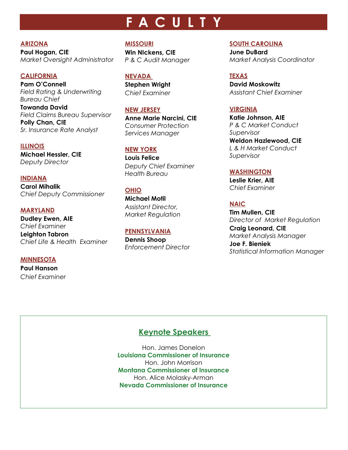# **F ACULTY**

#### **ARIZONA**

**Paul Hogan, CIE** *Market Oversight Administrator*

#### **CALIFORNIA**

**Pam O'Connell** *Field Rating & Underwriting Bureau Chief*

**Towanda David** *Field Claims Bureau Supervisor* **Polly Chan, CIE** *Sr. Insurance Rate Analyst*

#### **ILLINOIS**

**Michael Hessler, CIE** *Deputy Director*

**INDIANA Carol Mihalik** *Chief Deputy Commissioner*

**MARYLAND Dudley Ewen, AIE** *Chief Examiner* **Leighton Tabron**  *Chief Life & Health Examiner*

#### **MINNESOTA**

**Paul Hanson** *Chief Examiner*

### **MISSOURI**

**Win NIckens, CIE** *P & C Audit Manager*

**NEVADA Stephen Wright**  *Chief Examiner*

#### **NEW JERSEY**

**Anne Marie Narcini, CIE** *Consumer Protection Services Manager*

#### **NEW YORK**

**Louis Felice** *Deputy Chief Examiner Health Bureau*

#### **OHIO**

**Michael Motil** *Assistant Director, Market Regulation*

### **PENNSYLVANIA**

**Dennis Shoop** *Enforcement Director*

#### **SOUTH CAROLINA**

**June DuBard** *Market Analysis Coordinator*

#### **TEXAS**

**David Moskowitz** *Assistant Chief Examiner*

#### **VIRGINIA**

**Katie Johnson, AIE** *P & C Market Conduct Supervisor*

**Weldon Hazlewood, CIE** *L & H Market Conduct Supervisor*

#### **WASHINGTON**

**Leslie Krier, AIE** *Chief Examiner* 

**NAIC**

**Tim Mullen, CIE** *Director of Market Regulation* **Craig Leonard, CIE**

*Market Analysis Manager*

**Joe F. Bieniek** *Statistical Information Manager*

### **Keynote Speakers**

Hon. James Donelon **Louisiana Commissioner of Insurance** Hon. John Morrison **Montana Commissioner of Insurance** Hon. Alice Molasky-Arman **Nevada Commissioner of Insurance**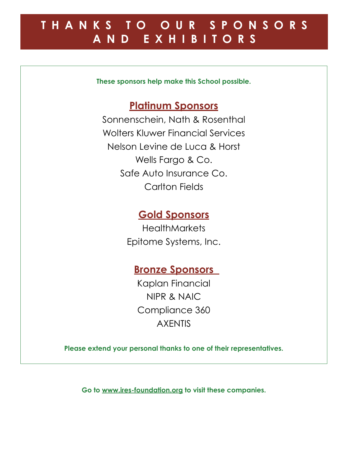# **T HAN K S T O O U R S P O N S O R S AND E XHI B I T O R S**

**These sponsors help make this School possible.**

## **Platinum Sponsors**

Sonnenschein, Nath & Rosenthal Wolters Kluwer Financial Services Nelson Levine de Luca & Horst Wells Fargo & Co. Safe Auto Insurance Co. Carlton Fields

## **Gold Sponsors**

**HealthMarkets** Epitome Systems, Inc.

## **Bronze Sponsors**

Kaplan Financial NIPR & NAIC Compliance 360 AXENTIS

**Please extend your personal thanks to one of their representatives.**

**Go to www.ires-foundation.org to visit these companies.**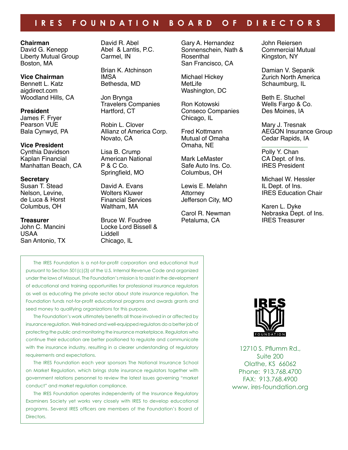### **IRE S FO UNDATI O N BO ARD OF DIRECT O R S**

#### **Chairman**

David G. Kenepp Liberty Mutual Group Boston, MA

**Vice Chairman** Bennett L. Katz aigdirect.com Woodland Hills, CA

**President** James F. Fryer Pearson VUE Bala Cynwyd, PA

#### **Vice President**

Cynthia Davidson Kaplan Financial Manhattan Beach, CA

**Secretary** Susan T. Stead Nelson, Levine, de Luca & Horst Columbus, OH

**Treasurer** John C. Mancini USAA San Antonio, TX David R. Abel Abel & Lantis, P.C. Carmel, IN

Brian K. Atchinson IMSA Bethesda, MD

Jon Brynga Travelers Companies Hartford, CT

Robin L. Clover Allianz of America Corp. Novato, CA

Lisa B. Crump American National P & C Co. Springfield, MO

David A. Evans Wolters Kluwer Financial Services Waltham, MA

Bruce W. Foudree Locke Lord Bissell & Liddell Chicago, IL

Gary A. Hernandez Sonnenschein, Nath & Rosenthal San Francisco, CA

Michael Hickey MetLife Washington, DC

Ron Kotowski Conseco Companies Chicago, IL

Fred Kottmann Mutual of Omaha Omaha, NE

Mark LeMaster Safe Auto Ins. Co. Columbus, OH

Lewis E. Melahn Attorney Jefferson City, MO

Carol R. Newman Petaluma, CA

John Reiersen Commercial Mutual Kingston, NY

Damian V. Sepanik Zurich North America Schaumburg, IL

Beth E. Stuchel Wells Fargo & Co. Des Moines, IA

Mary J. Tresnak AEGON Insurance Group Cedar Rapids, IA

Polly Y. Chan CA Dept. of Ins. IRES President

Michael W. Hessler IL Dept. of Ins. IRES Education Chair

Karen L. Dyke Nebraska Dept. of Ins. IRES Treasurer

the iRes Foundation is a not-for-proft corporation and educational trust pursuant to Section 501(c)(3) of the U.S. Internal Revenue Code and organized under the laws of Missouri. The Foundation's mission is to assist in the development of educational and training opportunities for professional insurance regulators as well as educating the private sector about state insurance regulation. The Foundation funds not-for-proft educational programs and awards grants and seed money to qualifying organizations for this purpose.

the Foundation's work ultimately benefts all those involved in or affected by insurance regulation. Well-trained and well-equipped regulators do a better job of protecting the public and monitoring the insurance marketplace. Regulators who continue their education are better positioned to regulate and communicate with the insurance industry, resulting in a clearer understanding of regulatory requirements and expectations.

The IRES Foundation each year sponsors The National Insurance School on Market Regulation, which brings state insurance regulators together with government relations personnel to review the latest issues governing "market conduct" and market regulation compliance.

The IRES Foundation operates independently of the Insurance Regulatory Examiners Society yet works very closely with IRES to develop educational programs. Several IRES officers are members of the Foundation's Board of **Directors** 



12710 s. Pfumm Rd., Suite 200 Olathe, KS 66062 Phone: 913.768.4700 FAX: 913.768.4900 www. ires-foundation.org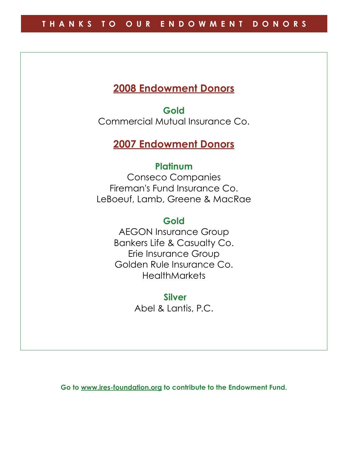## **2008 Endowment Donors**

**Gold**  Commercial Mutual Insurance Co.

## **2007 Endowment Donors**

### **Platinum**

Conseco Companies Fireman's Fund Insurance Co. LeBoeuf, Lamb, Greene & MacRae

## **Gold**

AEGON Insurance Group Bankers Life & Casualty Co. Erie Insurance Group Golden Rule Insurance Co. **HealthMarkets** 

> **Silver**  Abel & Lantis, P.C.

**Go to www.ires-foundation.org to contribute to the Endowment Fund.**